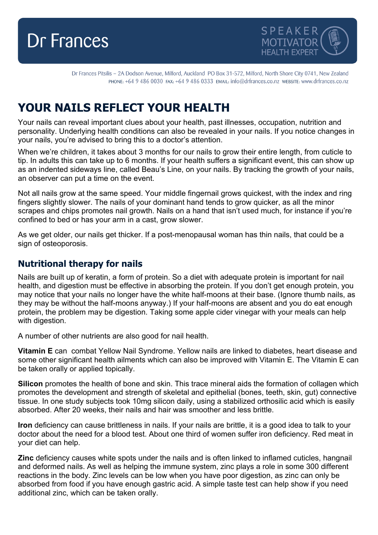



Dr Frances Pitsilis - 2A Dodson Avenue, Milford, Auckland PO Box 31-572, Milford, North Shore City 0741, New Zealand PHONE: +64 9 486 0030 FAX: +64 9 486 0333 EMAIL: info@drfrances.co.nz wEBSITE: www.drfrances.co.nz

# **YOUR NAILS REFLECT YOUR HEALTH**

Your nails can reveal important clues about your health, past illnesses, occupation, nutrition and personality. Underlying health conditions can also be revealed in your nails. If you notice changes in your nails, you're advised to bring this to a doctor's attention.

When we're children, it takes about 3 months for our nails to grow their entire length, from cuticle to tip. In adults this can take up to 6 months. If your health suffers a significant event, this can show up as an indented sideways line, called Beau's Line, on your nails. By tracking the growth of your nails, an observer can put a time on the event.

Not all nails grow at the same speed. Your middle fingernail grows quickest, with the index and ring fingers slightly slower. The nails of your dominant hand tends to grow quicker, as all the minor scrapes and chips promotes nail growth. Nails on a hand that isn't used much, for instance if you're confined to bed or has your arm in a cast, grow slower.

As we get older, our nails get thicker. If a post-menopausal woman has thin nails, that could be a sign of osteoporosis.

#### **Nutritional therapy for nails**

Nails are built up of keratin, a form of protein. So a diet with adequate protein is important for nail health, and digestion must be effective in absorbing the protein. If you don't get enough protein, you may notice that your nails no longer have the white half-moons at their base. (Ignore thumb nails, as they may be without the half-moons anyway.) If your half-moons are absent and you do eat enough protein, the problem may be digestion. Taking some apple cider vinegar with your meals can help with digestion.

A number of other nutrients are also good for nail health.

**Vitamin E** can combat Yellow Nail Syndrome. Yellow nails are linked to diabetes, heart disease and some other significant health ailments which can also be improved with Vitamin E. The Vitamin E can be taken orally or applied topically.

**Silicon** promotes the health of bone and skin. This trace mineral aids the formation of collagen which promotes the development and strength of skeletal and epithelial (bones, teeth, skin, gut) connective tissue. In one study subjects took 10mg silicon daily, using a stabilized orthosilic acid which is easily absorbed. After 20 weeks, their nails and hair was smoother and less brittle.

**Iron** deficiency can cause brittleness in nails. If your nails are brittle, it is a good idea to talk to your doctor about the need for a blood test. About one third of women suffer iron deficiency. Red meat in your diet can help.

**Zinc** deficiency causes white spots under the nails and is often linked to inflamed cuticles, hangnail and deformed nails. As well as helping the immune system, zinc plays a role in some 300 different reactions in the body. Zinc levels can be low when you have poor digestion, as zinc can only be absorbed from food if you have enough gastric acid. A simple taste test can help show if you need additional zinc, which can be taken orally.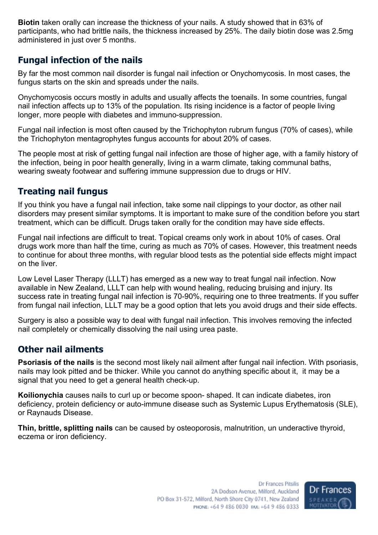**Biotin** taken orally can increase the thickness of your nails. A study showed that in 63% of participants, who had brittle nails, the thickness increased by 25%. The daily biotin dose was 2.5mg administered in just over 5 months.

## **Fungal infection of the nails**

By far the most common nail disorder is fungal nail infection or Onychomycosis. In most cases, the fungus starts on the skin and spreads under the nails.

Onychomycosis occurs mostly in adults and usually affects the toenails. In some countries, fungal nail infection affects up to 13% of the population. Its rising incidence is a factor of people living longer, more people with diabetes and immuno-suppression.

Fungal nail infection is most often caused by the Trichophyton rubrum fungus (70% of cases), while the Trichophyton mentagrophytes fungus accounts for about 20% of cases.

The people most at risk of getting fungal nail infection are those of higher age, with a family history of the infection, being in poor health generally, living in a warm climate, taking communal baths, wearing sweaty footwear and suffering immune suppression due to drugs or HIV.

# **Treating nail fungus**

If you think you have a fungal nail infection, take some nail clippings to your doctor, as other nail disorders may present similar symptoms. It is important to make sure of the condition before you start treatment, which can be difficult. Drugs taken orally for the condition may have side effects.

Fungal nail infections are difficult to treat. Topical creams only work in about 10% of cases. Oral drugs work more than half the time, curing as much as 70% of cases. However, this treatment needs to continue for about three months, with regular blood tests as the potential side effects might impact on the liver.

Low Level Laser Therapy (LLLT) has emerged as a new way to treat fungal nail infection. Now available in New Zealand, LLLT can help with wound healing, reducing bruising and injury. Its success rate in treating fungal nail infection is 70-90%, requiring one to three treatments. If you suffer from fungal nail infection, LLLT may be a good option that lets you avoid drugs and their side effects.

Surgery is also a possible way to deal with fungal nail infection. This involves removing the infected nail completely or chemically dissolving the nail using urea paste.

## **Other nail ailments**

**Psoriasis of the nails** is the second most likely nail ailment after fungal nail infection. With psoriasis, nails may look pitted and be thicker. While you cannot do anything specific about it, it may be a signal that you need to get a general health check-up.

**Koilionychia** causes nails to curl up or become spoon- shaped. It can indicate diabetes, iron deficiency, protein deficiency or auto-immune disease such as Systemic Lupus Erythematosis (SLE), or Raynauds Disease.

**Thin, brittle, splitting nails** can be caused by osteoporosis, malnutrition, un underactive thyroid, eczema or iron deficiency.